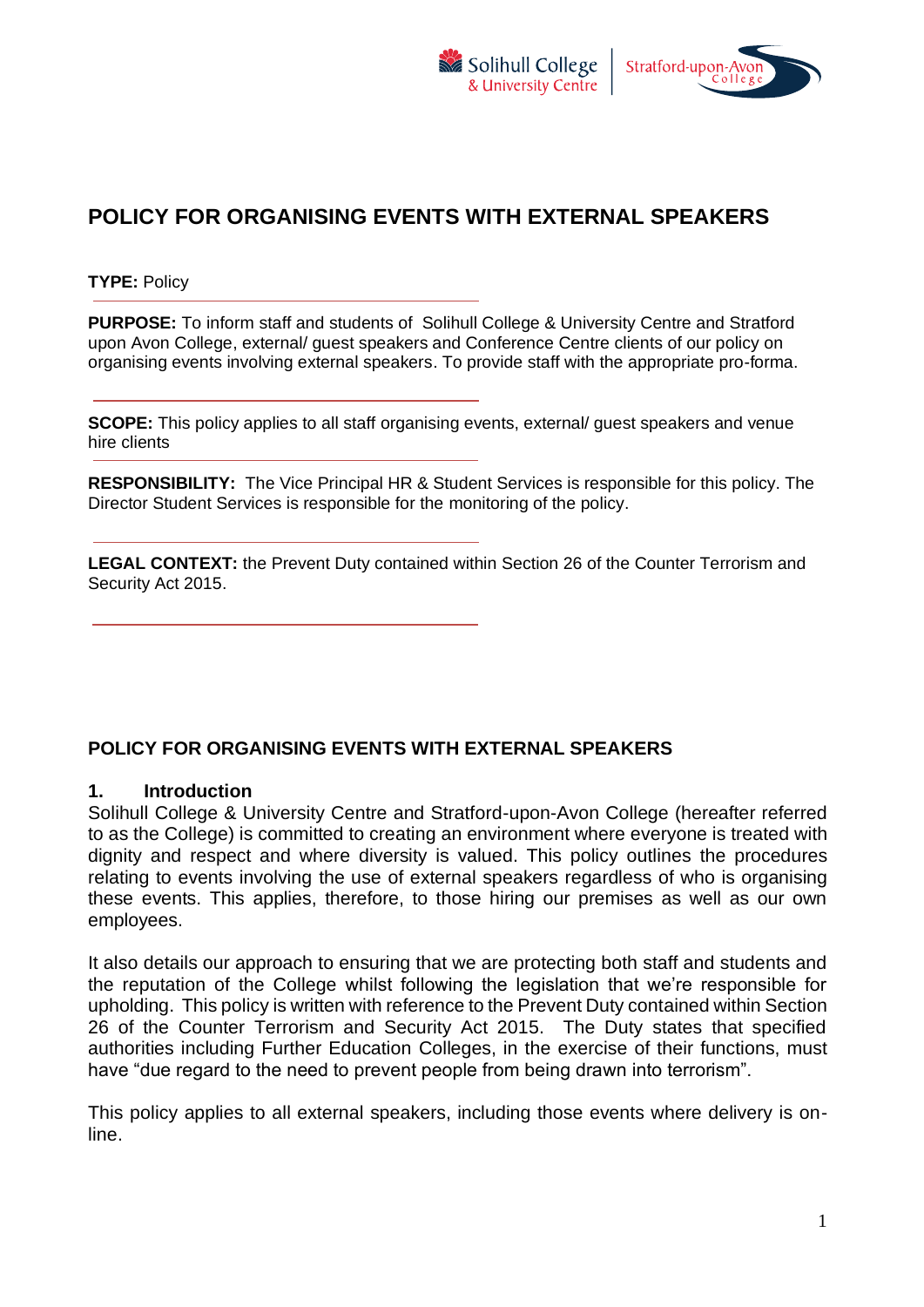



# **POLICY FOR ORGANISING EVENTS WITH EXTERNAL SPEAKERS**

**TYPE:** Policy

**PURPOSE:** To inform staff and students of Solihull College & University Centre and Stratford upon Avon College, external/ guest speakers and Conference Centre clients of our policy on organising events involving external speakers. To provide staff with the appropriate pro-forma.

**SCOPE:** This policy applies to all staff organising events, external/ guest speakers and venue hire clients

**RESPONSIBILITY:** The Vice Principal HR & Student Services is responsible for this policy. The Director Student Services is responsible for the monitoring of the policy.

**LEGAL CONTEXT:** the Prevent Duty contained within Section 26 of the Counter Terrorism and Security Act 2015.

# **POLICY FOR ORGANISING EVENTS WITH EXTERNAL SPEAKERS**

#### **1. Introduction**

Solihull College & University Centre and Stratford-upon-Avon College (hereafter referred to as the College) is committed to creating an environment where everyone is treated with dignity and respect and where diversity is valued. This policy outlines the procedures relating to events involving the use of external speakers regardless of who is organising these events. This applies, therefore, to those hiring our premises as well as our own employees.

It also details our approach to ensuring that we are protecting both staff and students and the reputation of the College whilst following the legislation that we're responsible for upholding. This policy is written with reference to the Prevent Duty contained within Section 26 of the Counter Terrorism and Security Act 2015. The Duty states that specified authorities including Further Education Colleges, in the exercise of their functions, must have "due regard to the need to prevent people from being drawn into terrorism".

This policy applies to all external speakers, including those events where delivery is online.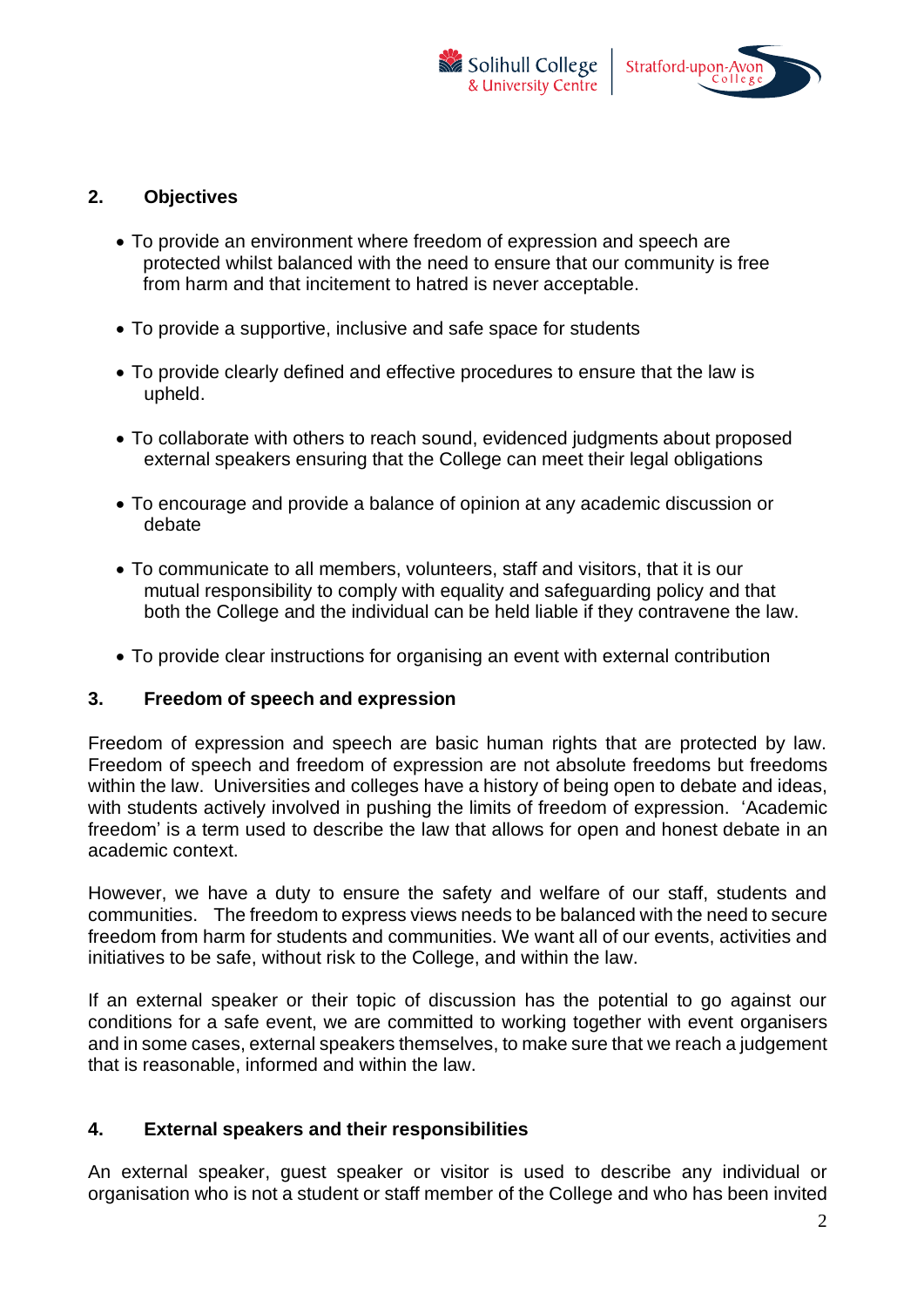



## **2. Objectives**

- To provide an environment where freedom of expression and speech are protected whilst balanced with the need to ensure that our community is free from harm and that incitement to hatred is never acceptable.
- To provide a supportive, inclusive and safe space for students
- To provide clearly defined and effective procedures to ensure that the law is upheld.
- To collaborate with others to reach sound, evidenced judgments about proposed external speakers ensuring that the College can meet their legal obligations
- To encourage and provide a balance of opinion at any academic discussion or debate
- To communicate to all members, volunteers, staff and visitors, that it is our mutual responsibility to comply with equality and safeguarding policy and that both the College and the individual can be held liable if they contravene the law.
- To provide clear instructions for organising an event with external contribution

### **3. Freedom of speech and expression**

Freedom of expression and speech are basic human rights that are protected by law. Freedom of speech and freedom of expression are not absolute freedoms but freedoms within the law. Universities and colleges have a history of being open to debate and ideas, with students actively involved in pushing the limits of freedom of expression. 'Academic freedom' is a term used to describe the law that allows for open and honest debate in an academic context.

However, we have a duty to ensure the safety and welfare of our staff, students and communities. The freedom to express views needs to be balanced with the need to secure freedom from harm for students and communities. We want all of our events, activities and initiatives to be safe, without risk to the College, and within the law.

If an external speaker or their topic of discussion has the potential to go against our conditions for a safe event, we are committed to working together with event organisers and in some cases, external speakers themselves, to make sure that we reach a judgement that is reasonable, informed and within the law.

### **4. External speakers and their responsibilities**

An external speaker, guest speaker or visitor is used to describe any individual or organisation who is not a student or staff member of the College and who has been invited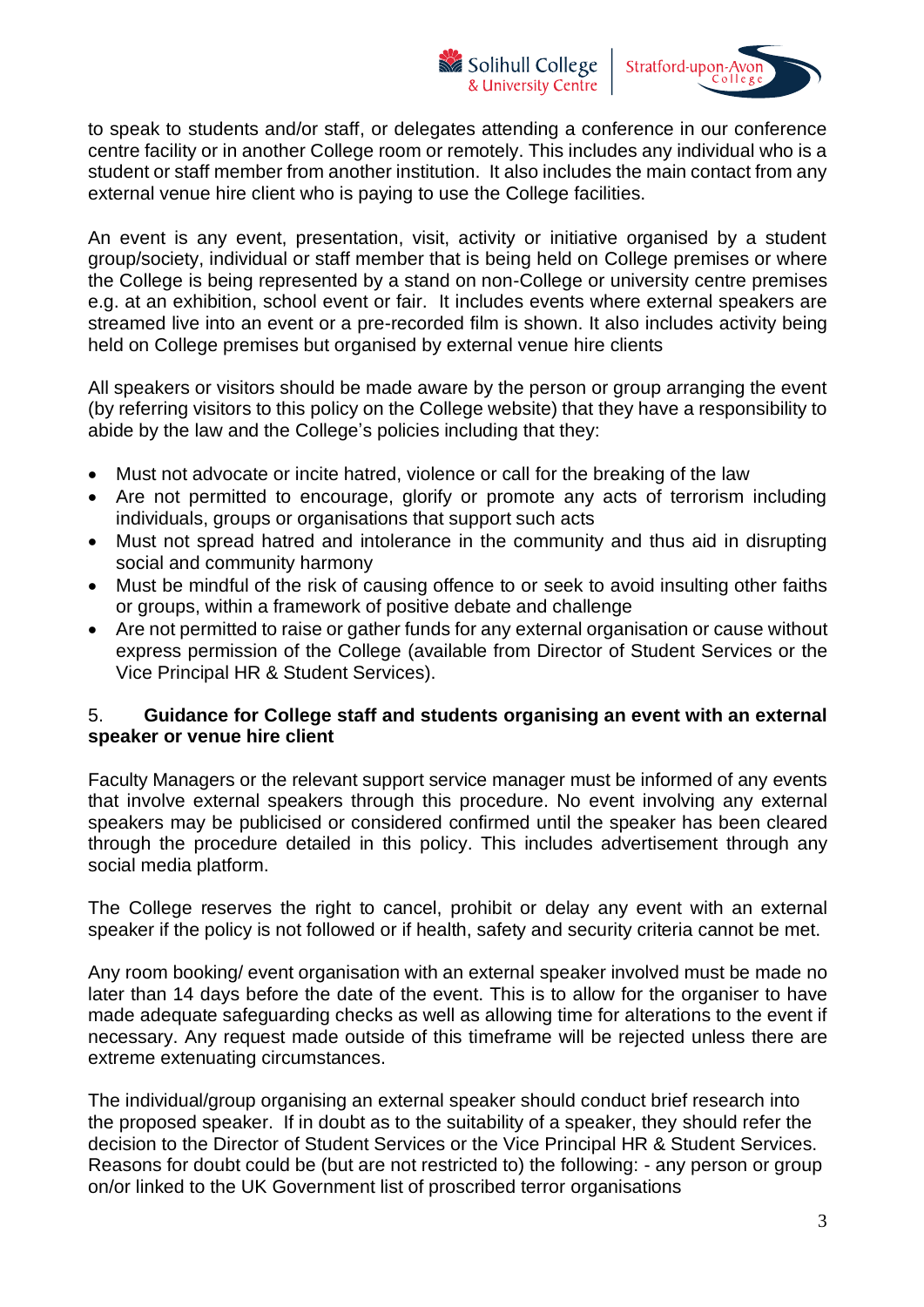Solihull College & University Centre



to speak to students and/or staff, or delegates attending a conference in our conference centre facility or in another College room or remotely. This includes any individual who is a student or staff member from another institution. It also includes the main contact from any external venue hire client who is paying to use the College facilities.

An event is any event, presentation, visit, activity or initiative organised by a student group/society, individual or staff member that is being held on College premises or where the College is being represented by a stand on non-College or university centre premises e.g. at an exhibition, school event or fair. It includes events where external speakers are streamed live into an event or a pre-recorded film is shown. It also includes activity being held on College premises but organised by external venue hire clients

All speakers or visitors should be made aware by the person or group arranging the event (by referring visitors to this policy on the College website) that they have a responsibility to abide by the law and the College's policies including that they:

- Must not advocate or incite hatred, violence or call for the breaking of the law
- Are not permitted to encourage, glorify or promote any acts of terrorism including individuals, groups or organisations that support such acts
- Must not spread hatred and intolerance in the community and thus aid in disrupting social and community harmony
- Must be mindful of the risk of causing offence to or seek to avoid insulting other faiths or groups, within a framework of positive debate and challenge
- Are not permitted to raise or gather funds for any external organisation or cause without express permission of the College (available from Director of Student Services or the Vice Principal HR & Student Services).

## 5. **Guidance for College staff and students organising an event with an external speaker or venue hire client**

Faculty Managers or the relevant support service manager must be informed of any events that involve external speakers through this procedure. No event involving any external speakers may be publicised or considered confirmed until the speaker has been cleared through the procedure detailed in this policy. This includes advertisement through any social media platform.

The College reserves the right to cancel, prohibit or delay any event with an external speaker if the policy is not followed or if health, safety and security criteria cannot be met.

Any room booking/ event organisation with an external speaker involved must be made no later than 14 days before the date of the event. This is to allow for the organiser to have made adequate safeguarding checks as well as allowing time for alterations to the event if necessary. Any request made outside of this timeframe will be rejected unless there are extreme extenuating circumstances.

The individual/group organising an external speaker should conduct brief research into the proposed speaker. If in doubt as to the suitability of a speaker, they should refer the decision to the Director of Student Services or the Vice Principal HR & Student Services. Reasons for doubt could be (but are not restricted to) the following: - any person or group on/or linked to the UK Government list of proscribed terror organisations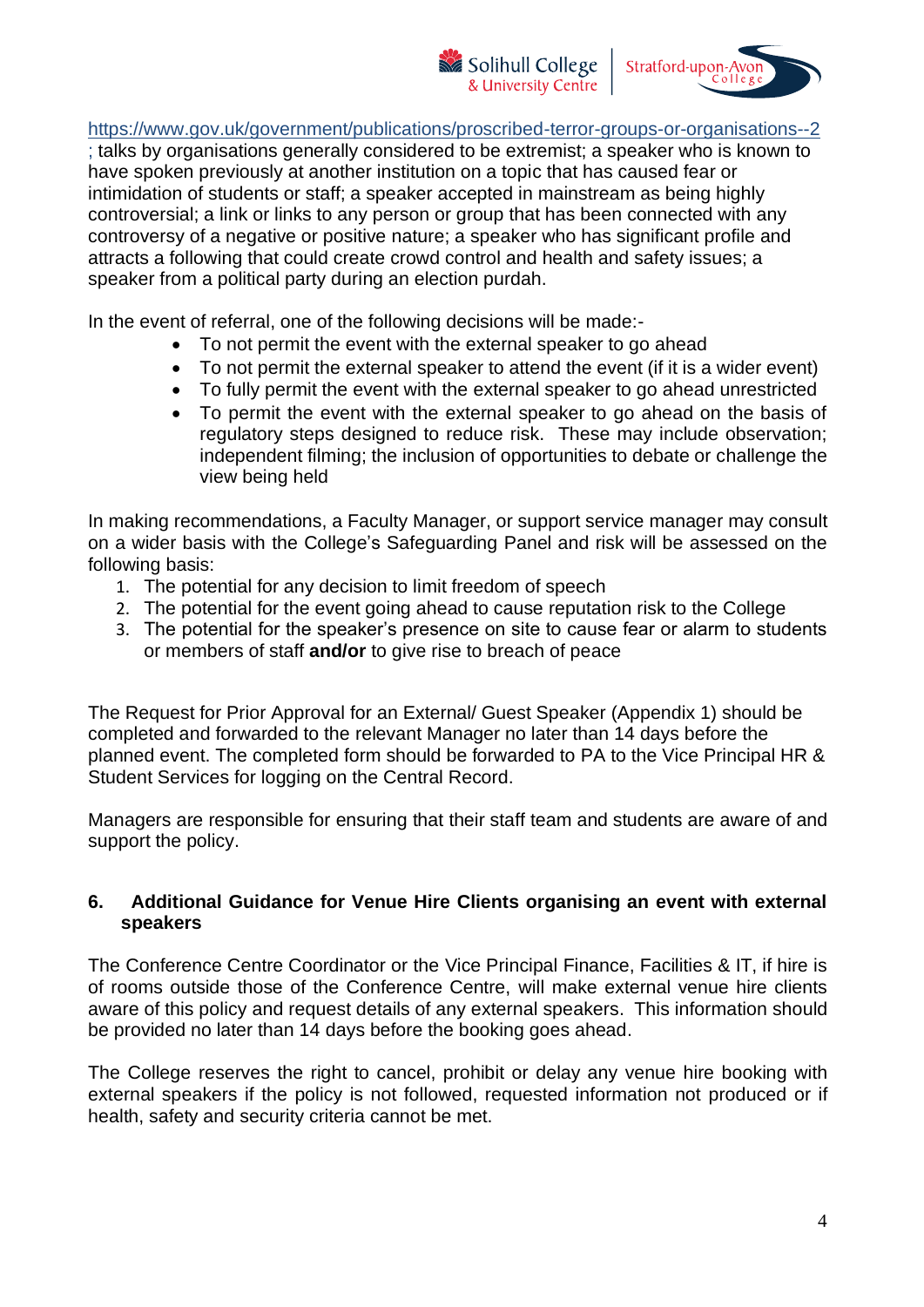Stratford-upon-Avoi

<https://www.gov.uk/government/publications/proscribed-terror-groups-or-organisations--2>

Solihull College

& University Centre

; talks by organisations generally considered to be extremist; a speaker who is known to have spoken previously at another institution on a topic that has caused fear or intimidation of students or staff; a speaker accepted in mainstream as being highly controversial; a link or links to any person or group that has been connected with any controversy of a negative or positive nature; a speaker who has significant profile and attracts a following that could create crowd control and health and safety issues; a speaker from a political party during an election purdah.

In the event of referral, one of the following decisions will be made:-

- To not permit the event with the external speaker to go ahead
- To not permit the external speaker to attend the event (if it is a wider event)
- To fully permit the event with the external speaker to go ahead unrestricted
- To permit the event with the external speaker to go ahead on the basis of regulatory steps designed to reduce risk. These may include observation; independent filming; the inclusion of opportunities to debate or challenge the view being held

In making recommendations, a Faculty Manager, or support service manager may consult on a wider basis with the College's Safeguarding Panel and risk will be assessed on the following basis:

- 1. The potential for any decision to limit freedom of speech
- 2. The potential for the event going ahead to cause reputation risk to the College
- 3. The potential for the speaker's presence on site to cause fear or alarm to students or members of staff **and/or** to give rise to breach of peace

The Request for Prior Approval for an External/ Guest Speaker (Appendix 1) should be completed and forwarded to the relevant Manager no later than 14 days before the planned event. The completed form should be forwarded to PA to the Vice Principal HR & Student Services for logging on the Central Record.

Managers are responsible for ensuring that their staff team and students are aware of and support the policy.

# **6. Additional Guidance for Venue Hire Clients organising an event with external speakers**

The Conference Centre Coordinator or the Vice Principal Finance, Facilities & IT, if hire is of rooms outside those of the Conference Centre, will make external venue hire clients aware of this policy and request details of any external speakers. This information should be provided no later than 14 days before the booking goes ahead.

The College reserves the right to cancel, prohibit or delay any venue hire booking with external speakers if the policy is not followed, requested information not produced or if health, safety and security criteria cannot be met.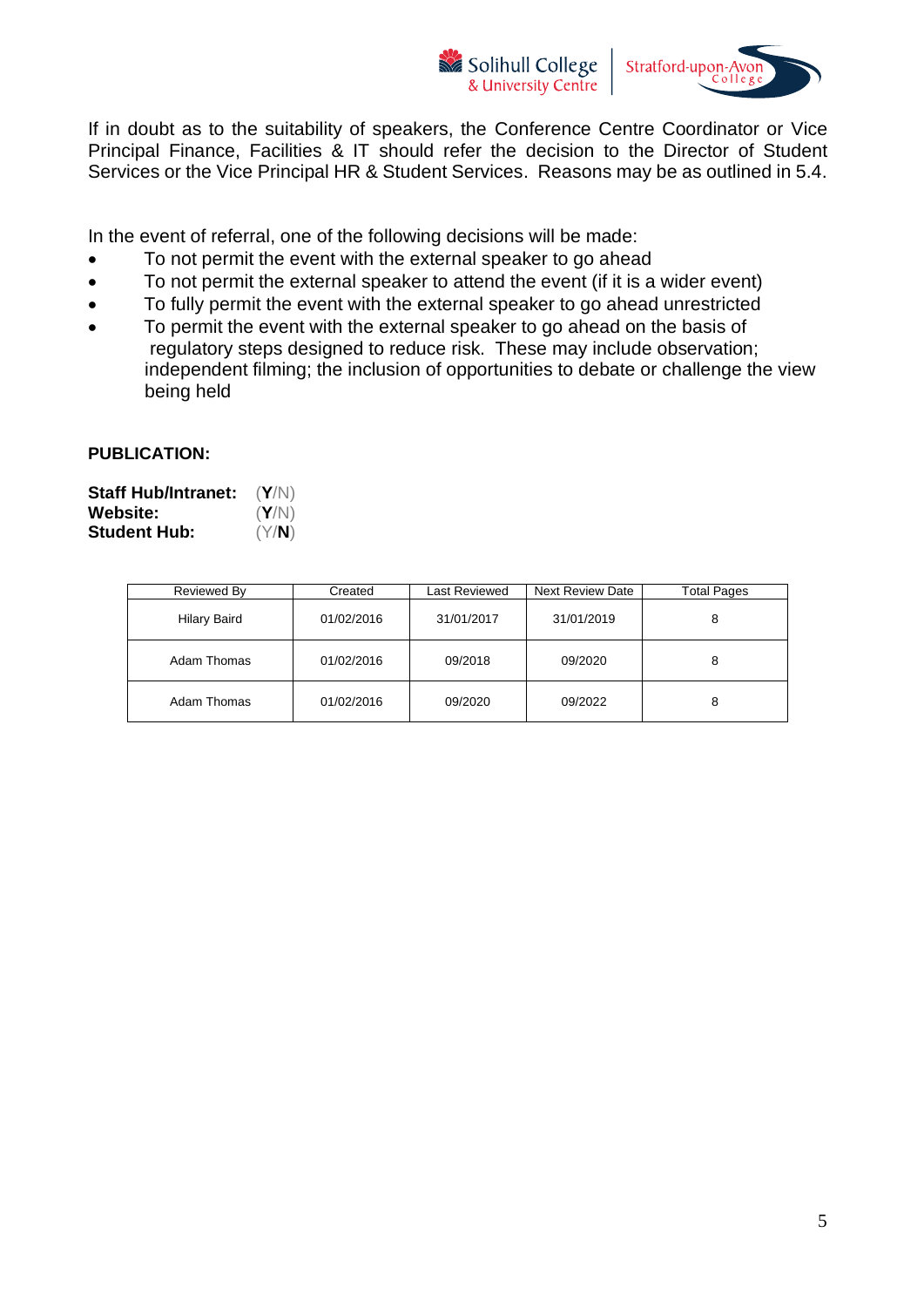



If in doubt as to the suitability of speakers, the Conference Centre Coordinator or Vice Principal Finance, Facilities & IT should refer the decision to the Director of Student Services or the Vice Principal HR & Student Services. Reasons may be as outlined in 5.4.

In the event of referral, one of the following decisions will be made:

- To not permit the event with the external speaker to go ahead
- To not permit the external speaker to attend the event (if it is a wider event)
- To fully permit the event with the external speaker to go ahead unrestricted
- To permit the event with the external speaker to go ahead on the basis of regulatory steps designed to reduce risk. These may include observation; independent filming; the inclusion of opportunities to debate or challenge the view being held

### **PUBLICATION:**

| <b>Staff Hub/Intranet:</b> | (Y/N) |
|----------------------------|-------|
| <b>Website:</b>            | (Y/N) |
| <b>Student Hub:</b>        | (Y/N) |

| Reviewed By         | Created    | Last Reviewed | Next Review Date | <b>Total Pages</b> |
|---------------------|------------|---------------|------------------|--------------------|
| <b>Hilary Baird</b> | 01/02/2016 | 31/01/2017    | 31/01/2019       | 8                  |
| Adam Thomas         | 01/02/2016 | 09/2018       | 09/2020          | 8                  |
| Adam Thomas         | 01/02/2016 | 09/2020       | 09/2022          | 8                  |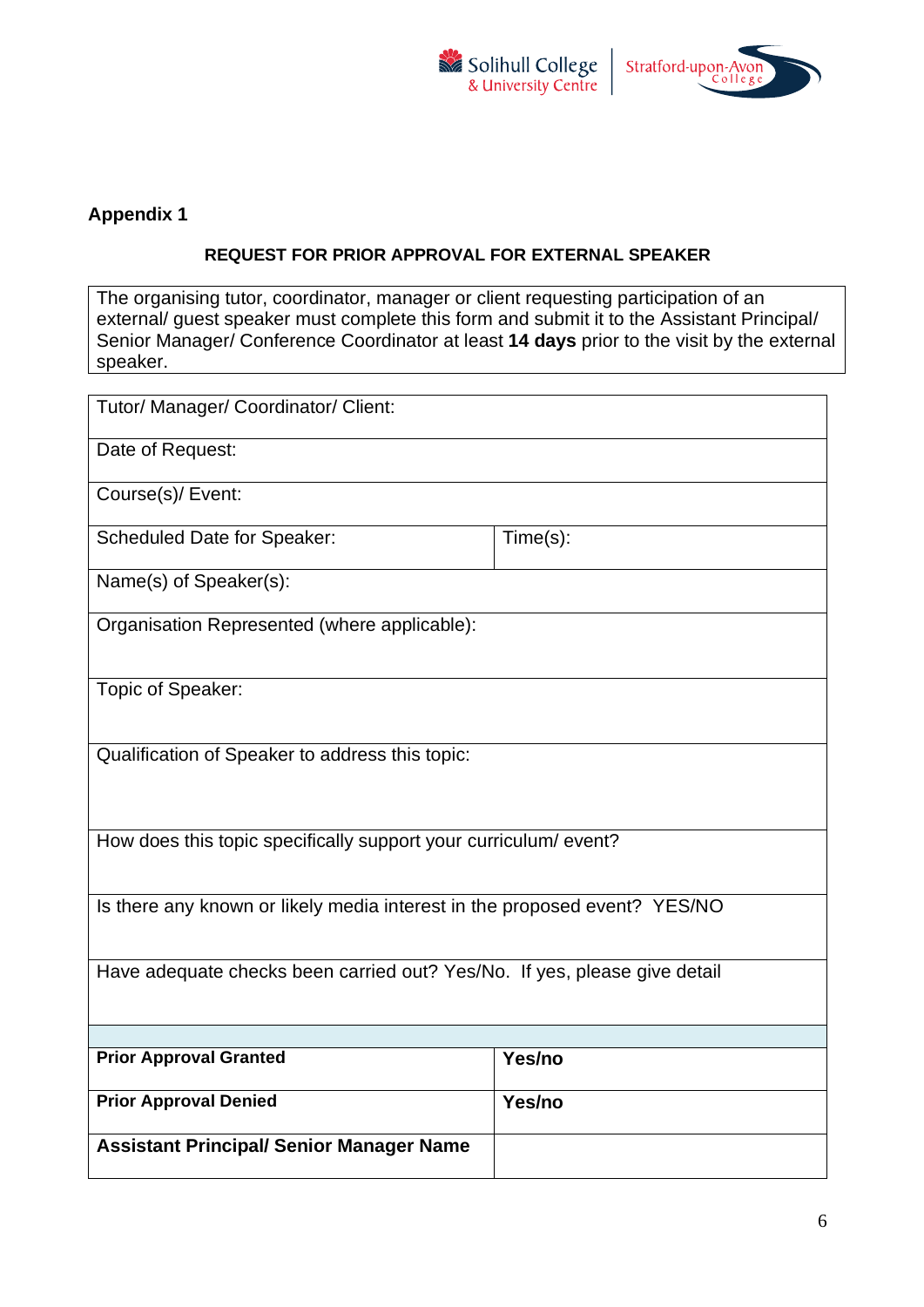



# **Appendix 1**

#### **REQUEST FOR PRIOR APPROVAL FOR EXTERNAL SPEAKER**

The organising tutor, coordinator, manager or client requesting participation of an external/ guest speaker must complete this form and submit it to the Assistant Principal/ Senior Manager/ Conference Coordinator at least **14 days** prior to the visit by the external speaker.

| Tutor/ Manager/ Coordinator/ Client:                                      |          |  |  |  |
|---------------------------------------------------------------------------|----------|--|--|--|
| Date of Request:                                                          |          |  |  |  |
| Course(s)/ Event:                                                         |          |  |  |  |
| <b>Scheduled Date for Speaker:</b>                                        | Time(s): |  |  |  |
| Name(s) of Speaker(s):                                                    |          |  |  |  |
| Organisation Represented (where applicable):                              |          |  |  |  |
| Topic of Speaker:                                                         |          |  |  |  |
| Qualification of Speaker to address this topic:                           |          |  |  |  |
| How does this topic specifically support your curriculum/event?           |          |  |  |  |
| Is there any known or likely media interest in the proposed event? YES/NO |          |  |  |  |
| Have adequate checks been carried out? Yes/No. If yes, please give detail |          |  |  |  |
|                                                                           |          |  |  |  |
| <b>Prior Approval Granted</b>                                             | Yes/no   |  |  |  |
| <b>Prior Approval Denied</b>                                              | Yes/no   |  |  |  |
| <b>Assistant Principal/ Senior Manager Name</b>                           |          |  |  |  |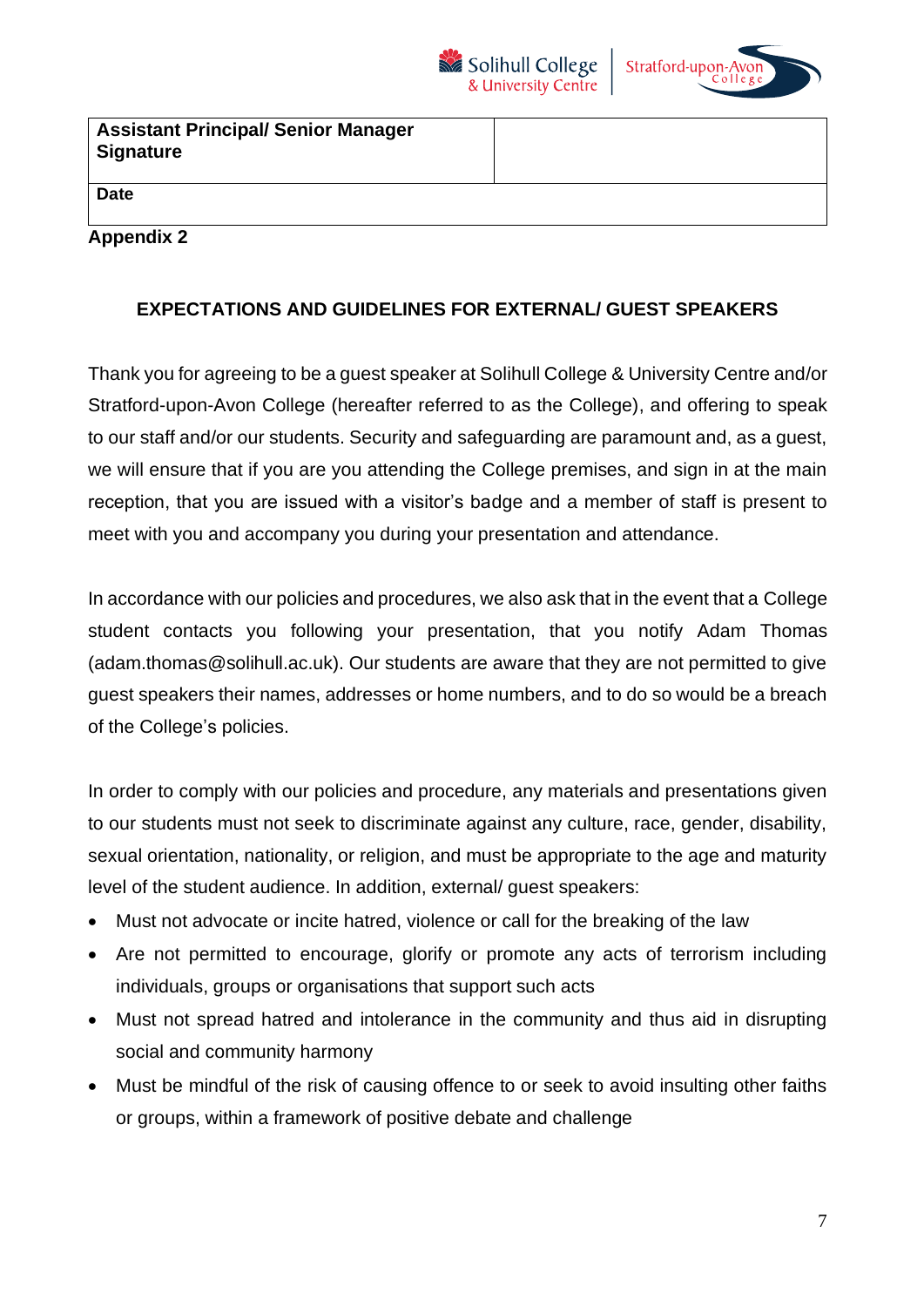



| <b>Assistant Principal/ Senior Manager</b><br><b>Signature</b> |  |
|----------------------------------------------------------------|--|
| <b>Date</b>                                                    |  |
| <b>Appendix 2</b>                                              |  |

# **EXPECTATIONS AND GUIDELINES FOR EXTERNAL/ GUEST SPEAKERS**

Thank you for agreeing to be a guest speaker at Solihull College & University Centre and/or Stratford-upon-Avon College (hereafter referred to as the College), and offering to speak to our staff and/or our students. Security and safeguarding are paramount and, as a guest, we will ensure that if you are you attending the College premises, and sign in at the main reception, that you are issued with a visitor's badge and a member of staff is present to meet with you and accompany you during your presentation and attendance.

In accordance with our policies and procedures, we also ask that in the event that a College student contacts you following your presentation, that you notify Adam Thomas (adam.thomas@solihull.ac.uk). Our students are aware that they are not permitted to give guest speakers their names, addresses or home numbers, and to do so would be a breach of the College's policies.

In order to comply with our policies and procedure, any materials and presentations given to our students must not seek to discriminate against any culture, race, gender, disability, sexual orientation, nationality, or religion, and must be appropriate to the age and maturity level of the student audience. In addition, external/ guest speakers:

- Must not advocate or incite hatred, violence or call for the breaking of the law
- Are not permitted to encourage, glorify or promote any acts of terrorism including individuals, groups or organisations that support such acts
- Must not spread hatred and intolerance in the community and thus aid in disrupting social and community harmony
- Must be mindful of the risk of causing offence to or seek to avoid insulting other faiths or groups, within a framework of positive debate and challenge